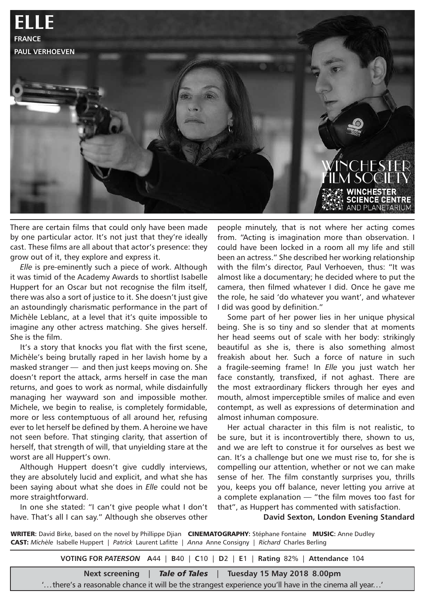

There are certain films that could only have been made by one particular actor. It's not just that they're ideally cast. These films are all about that actor's presence: they grow out of it, they explore and express it.

*Elle* is pre-eminently such a piece of work. Although it was timid of the Academy Awards to shortlist Isabelle Huppert for an Oscar but not recognise the film itself, there was also a sort of justice to it. She doesn't just give an astoundingly charismatic performance in the part of Michèle Leblanc, at a level that it's quite impossible to imagine any other actress matching. She gives herself. She is the film.

It's a story that knocks you flat with the first scene, Michèle's being brutally raped in her lavish home by a masked stranger — and then just keeps moving on. She doesn't report the attack, arms herself in case the man returns, and goes to work as normal, while disdainfully managing her wayward son and impossible mother. Michele, we begin to realise, is completely formidable, more or less contemptuous of all around her, refusing ever to let herself be defined by them. A heroine we have not seen before. That stinging clarity, that assertion of herself, that strength of will, that unyielding stare at the worst are all Huppert's own.

Although Huppert doesn't give cuddly interviews, they are absolutely lucid and explicit, and what she has been saying about what she does in *Elle* could not be more straightforward.

In one she stated: "I can't give people what I don't have. That's all I can say." Although she observes other

people minutely, that is not where her acting comes from. "Acting is imagination more than observation. I could have been locked in a room all my life and still been an actress." She described her working relationship with the film's director, Paul Verhoeven, thus: "It was almost like a documentary; he decided where to put the camera, then filmed whatever I did. Once he gave me the role, he said 'do whatever you want', and whatever I did was good by definition."

Some part of her power lies in her unique physical being. She is so tiny and so slender that at moments her head seems out of scale with her body: strikingly beautiful as she is, there is also something almost freakish about her. Such a force of nature in such a fragile-seeming frame! In *Elle* you just watch her face constantly, transfixed, if not aghast. There are the most extraordinary flickers through her eyes and mouth, almost imperceptible smiles of malice and even contempt, as well as expressions of determination and almost inhuman composure.

Her actual character in this film is not realistic, to be sure, but it is incontrovertibly there, shown to us, and we are left to construe it for ourselves as best we can. It's a challenge but one we must rise to, for she is compelling our attention, whether or not we can make sense of her. The film constantly surprises you, thrills you, keeps you off balance, never letting you arrive at a complete explanation — "the film moves too fast for that", as Huppert has commented with satisfaction.

**David Sexton, London Evening Standard**

WRITER**:** David Birke, based on the novel by Phillippe Djian CINEMATOGRAPHY**:** Stéphane Fontaine MUSIC**:** Anne Dudley CAST: *Michèle* Isabelle Huppert | *Patrick* Laurent Lafitte | *Anna* Anne Consigny | *Richard* Charles Berling

**VOTING FOR** *PATERSON* **A**44 | **B**40 | **C**10 | **D**2 | **E**1 | **Rating** 82% | **Attendance** 104

**Next screening** | *Tale of Tales* | **Tuesday 15 May 2018 8.00pm**

'...there's a reasonable chance it will be the strangest experience you'll have in the cinema all year...'